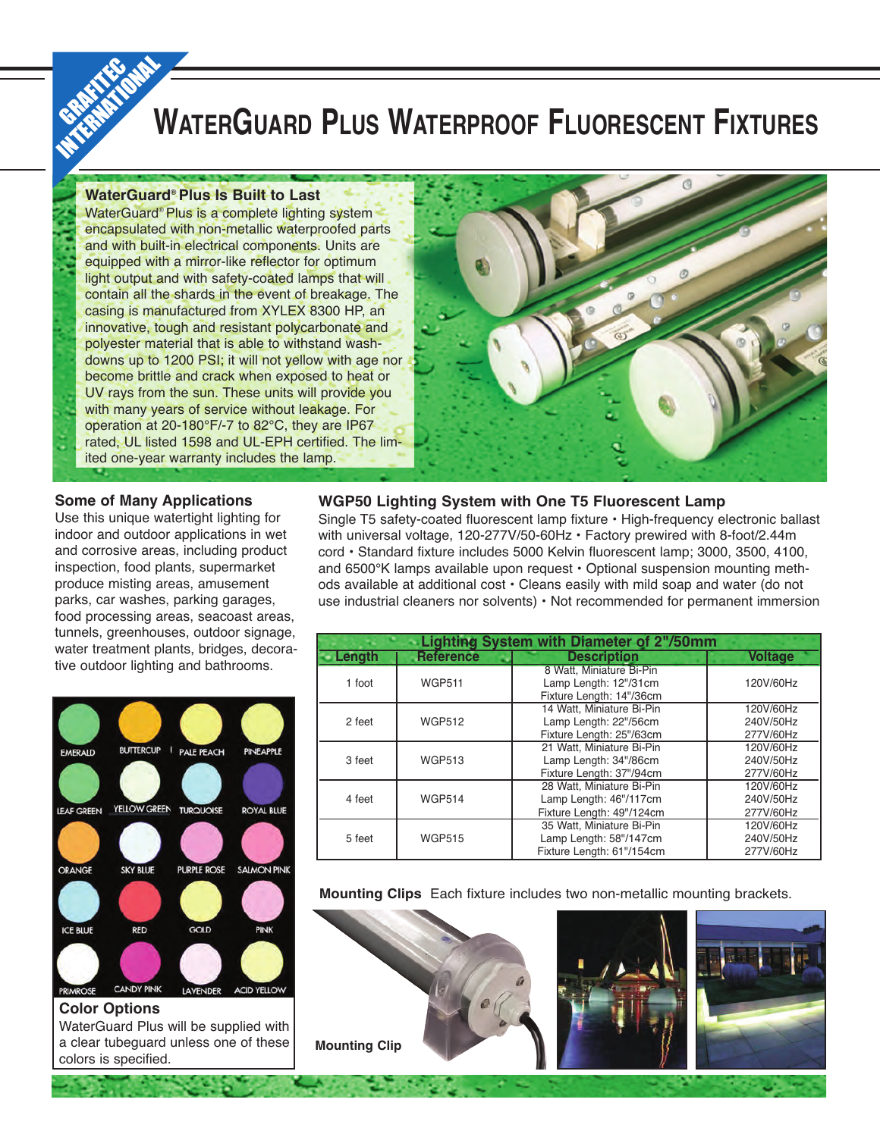# **WATERGUARD PLUS WATERPROOF FLUORESCENT FIXTURES**

#### **WaterGuard® Plus Is Built to Last**

GRAFFIT

WaterGuard® Plus is a complete lighting system encapsulated with non-metallic waterproofed parts and with built-in electrical components. Units are equipped with a mirror-like reflector for optimum light output and with safety-coated lamps that will contain all the shards in the event of breakage. The casing is manufactured from XYLEX 8300 HP, an innovative, tough and resistant polycarbonate and polyester material that is able to withstand washdowns up to 1200 PSI; it will not yellow with age nor become brittle and crack when exposed to heat or UV rays from the sun. These units will provide you with many years of service without leakage. For operation at 20-180°F/-7 to 82°C, they are IP67 rated, UL listed 1598 and UL-EPH certified. The limited one-year warranty includes the lamp.



#### **Some of Many Applications**

Use this unique watertight lighting for indoor and outdoor applications in wet and corrosive areas, including product inspection, food plants, supermarket produce misting areas, amusement parks, car washes, parking garages, food processing areas, seacoast areas, tunnels, greenhouses, outdoor signage, water treatment plants, bridges, decorative outdoor lighting and bathrooms.



Single T5 safety-coated fluorescent lamp fixture • High-frequency electronic ballast with universal voltage, 120-277V/50-60Hz • Factory prewired with 8-foot/2.44m cord • Standard fixture includes 5000 Kelvin fluorescent lamp; 3000, 3500, 4100, and 6500°K lamps available upon request • Optional suspension mounting methods available at additional cost • Cleans easily with mild soap and water (do not use industrial cleaners nor solvents) • Not recommended for permanent immersion

| <b>Lighting System with Diameter of 2"/50mm</b> |                  |                                                                                  |                                     |  |
|-------------------------------------------------|------------------|----------------------------------------------------------------------------------|-------------------------------------|--|
| Length                                          | <b>Reference</b> | <b>Description</b>                                                               | <b>Voltage</b>                      |  |
| 1 foot                                          | <b>WGP511</b>    | 8 Watt. Miniature Bi-Pin<br>Lamp Length: 12"/31cm<br>Fixture Length: 14"/36cm    | 120V/60Hz                           |  |
| 2 feet                                          | <b>WGP512</b>    | 14 Watt. Miniature Bi-Pin<br>Lamp Length: 22"/56cm<br>Fixture Length: 25"/63cm   | 120V/60Hz<br>240V/50Hz<br>277V/60Hz |  |
| 3 feet                                          | <b>WGP513</b>    | 21 Watt. Miniature Bi-Pin<br>Lamp Length: 34"/86cm<br>Fixture Length: 37"/94cm   | 120V/60Hz<br>240V/50Hz<br>277V/60Hz |  |
| 4 feet                                          | <b>WGP514</b>    | 28 Watt. Miniature Bi-Pin<br>Lamp Length: 46"/117cm<br>Fixture Length: 49"/124cm | 120V/60Hz<br>240V/50Hz<br>277V/60Hz |  |
| 5 feet                                          | <b>WGP515</b>    | 35 Watt. Miniature Bi-Pin<br>Lamp Length: 58"/147cm<br>Fixture Length: 61"/154cm | 120V/60Hz<br>240V/50Hz<br>277V/60Hz |  |

**Mounting Clips** Each fixture includes two non-metallic mounting brackets.





WaterGuard Plus will be supplied with a clear tubeguard unless one of these colors is specified.